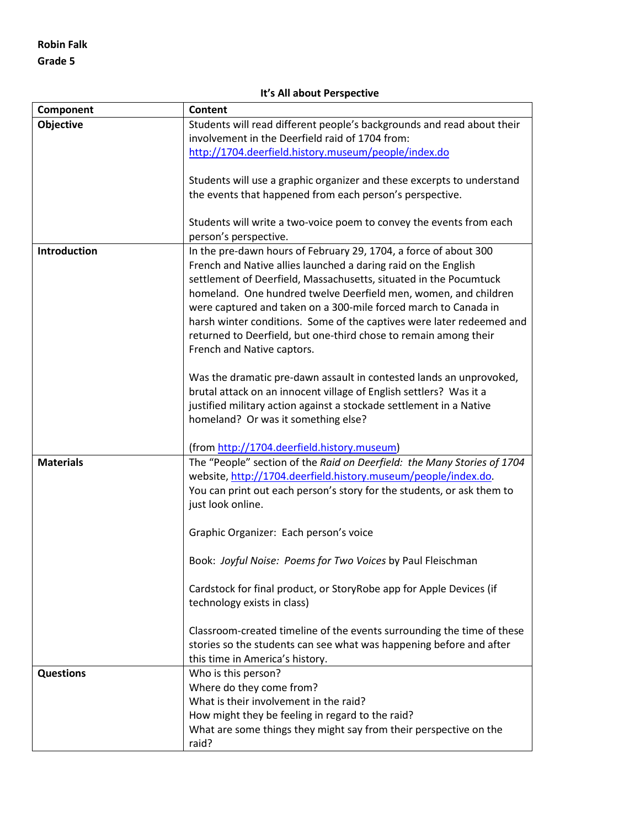## **It's All about Perspective**

| Component        | <b>Content</b>                                                          |
|------------------|-------------------------------------------------------------------------|
| Objective        | Students will read different people's backgrounds and read about their  |
|                  | involvement in the Deerfield raid of 1704 from:                         |
|                  | http://1704.deerfield.history.museum/people/index.do                    |
|                  | Students will use a graphic organizer and these excerpts to understand  |
|                  | the events that happened from each person's perspective.                |
|                  |                                                                         |
|                  | Students will write a two-voice poem to convey the events from each     |
|                  | person's perspective.                                                   |
| Introduction     | In the pre-dawn hours of February 29, 1704, a force of about 300        |
|                  | French and Native allies launched a daring raid on the English          |
|                  | settlement of Deerfield, Massachusetts, situated in the Pocumtuck       |
|                  | homeland. One hundred twelve Deerfield men, women, and children         |
|                  | were captured and taken on a 300-mile forced march to Canada in         |
|                  | harsh winter conditions. Some of the captives were later redeemed and   |
|                  | returned to Deerfield, but one-third chose to remain among their        |
|                  | French and Native captors.                                              |
|                  | Was the dramatic pre-dawn assault in contested lands an unprovoked,     |
|                  | brutal attack on an innocent village of English settlers? Was it a      |
|                  | justified military action against a stockade settlement in a Native     |
|                  | homeland? Or was it something else?                                     |
|                  |                                                                         |
|                  | (from http://1704.deerfield.history.museum)                             |
| <b>Materials</b> | The "People" section of the Raid on Deerfield: the Many Stories of 1704 |
|                  | website, http://1704.deerfield.history.museum/people/index.do.          |
|                  | You can print out each person's story for the students, or ask them to  |
|                  | just look online.                                                       |
|                  | Graphic Organizer: Each person's voice                                  |
|                  | Book: Joyful Noise: Poems for Two Voices by Paul Fleischman             |
|                  | Cardstock for final product, or StoryRobe app for Apple Devices (if     |
|                  | technology exists in class)                                             |
|                  | Classroom-created timeline of the events surrounding the time of these  |
|                  | stories so the students can see what was happening before and after     |
|                  | this time in America's history.                                         |
| <b>Questions</b> | Who is this person?                                                     |
|                  | Where do they come from?                                                |
|                  | What is their involvement in the raid?                                  |
|                  | How might they be feeling in regard to the raid?                        |
|                  | What are some things they might say from their perspective on the       |
|                  | raid?                                                                   |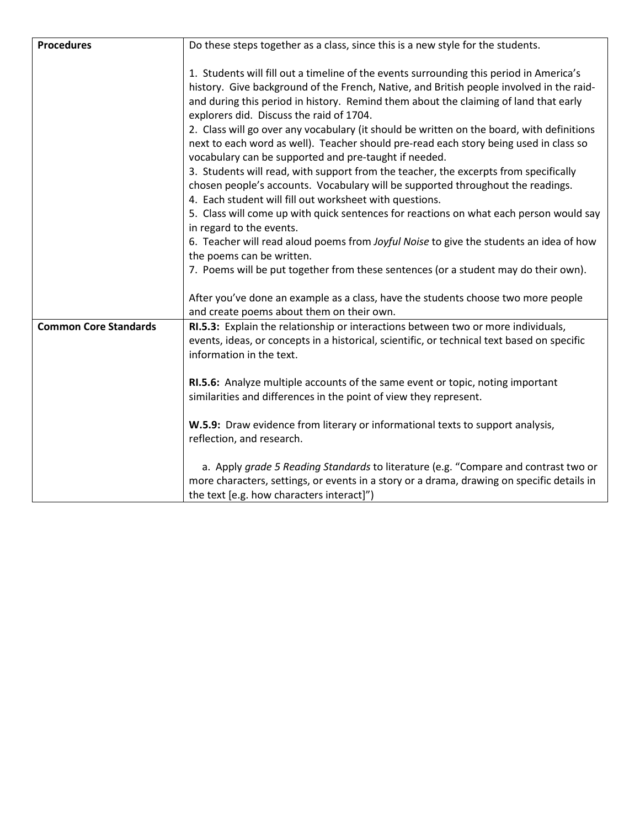| <b>Procedures</b>            | Do these steps together as a class, since this is a new style for the students.                                                                                                                                                                                                                                                                                                                                                                                                                                                                                                                                                                                                                                                                                                                                                                                                                                                                                                                                                                                                                                                                  |  |  |
|------------------------------|--------------------------------------------------------------------------------------------------------------------------------------------------------------------------------------------------------------------------------------------------------------------------------------------------------------------------------------------------------------------------------------------------------------------------------------------------------------------------------------------------------------------------------------------------------------------------------------------------------------------------------------------------------------------------------------------------------------------------------------------------------------------------------------------------------------------------------------------------------------------------------------------------------------------------------------------------------------------------------------------------------------------------------------------------------------------------------------------------------------------------------------------------|--|--|
|                              | 1. Students will fill out a timeline of the events surrounding this period in America's<br>history. Give background of the French, Native, and British people involved in the raid-<br>and during this period in history. Remind them about the claiming of land that early<br>explorers did. Discuss the raid of 1704.<br>2. Class will go over any vocabulary (it should be written on the board, with definitions<br>next to each word as well). Teacher should pre-read each story being used in class so<br>vocabulary can be supported and pre-taught if needed.<br>3. Students will read, with support from the teacher, the excerpts from specifically<br>chosen people's accounts. Vocabulary will be supported throughout the readings.<br>4. Each student will fill out worksheet with questions.<br>5. Class will come up with quick sentences for reactions on what each person would say<br>in regard to the events.<br>6. Teacher will read aloud poems from Joyful Noise to give the students an idea of how<br>the poems can be written.<br>7. Poems will be put together from these sentences (or a student may do their own). |  |  |
|                              | After you've done an example as a class, have the students choose two more people<br>and create poems about them on their own.                                                                                                                                                                                                                                                                                                                                                                                                                                                                                                                                                                                                                                                                                                                                                                                                                                                                                                                                                                                                                   |  |  |
| <b>Common Core Standards</b> | RI.5.3: Explain the relationship or interactions between two or more individuals,<br>events, ideas, or concepts in a historical, scientific, or technical text based on specific<br>information in the text.                                                                                                                                                                                                                                                                                                                                                                                                                                                                                                                                                                                                                                                                                                                                                                                                                                                                                                                                     |  |  |
|                              | RI.5.6: Analyze multiple accounts of the same event or topic, noting important<br>similarities and differences in the point of view they represent.                                                                                                                                                                                                                                                                                                                                                                                                                                                                                                                                                                                                                                                                                                                                                                                                                                                                                                                                                                                              |  |  |
|                              | W.5.9: Draw evidence from literary or informational texts to support analysis,<br>reflection, and research.                                                                                                                                                                                                                                                                                                                                                                                                                                                                                                                                                                                                                                                                                                                                                                                                                                                                                                                                                                                                                                      |  |  |
|                              | a. Apply grade 5 Reading Standards to literature (e.g. "Compare and contrast two or<br>more characters, settings, or events in a story or a drama, drawing on specific details in<br>the text [e.g. how characters interact]")                                                                                                                                                                                                                                                                                                                                                                                                                                                                                                                                                                                                                                                                                                                                                                                                                                                                                                                   |  |  |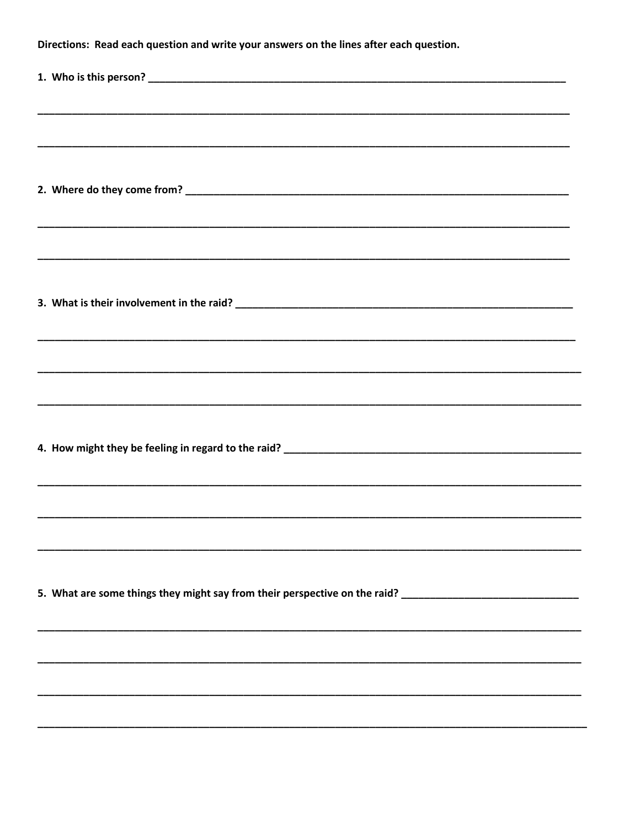| Directions: Read each question and write your answers on the lines after each question.                        |  |  |
|----------------------------------------------------------------------------------------------------------------|--|--|
|                                                                                                                |  |  |
| ,我们也不能会在这里,我们也不能会在这里,我们也不能会在这里,我们也不能会在这里,我们也不能会在这里,我们也不能会不能会不能会。""我们的人,我们也不能会不能会                               |  |  |
|                                                                                                                |  |  |
|                                                                                                                |  |  |
|                                                                                                                |  |  |
|                                                                                                                |  |  |
|                                                                                                                |  |  |
|                                                                                                                |  |  |
|                                                                                                                |  |  |
|                                                                                                                |  |  |
|                                                                                                                |  |  |
|                                                                                                                |  |  |
| ,我们也不能会在这里,我们的人们就会在这里,我们的人们就会在这里,我们也不会在这里,我们也不会在这里,我们也不会在这里,我们也不会在这里,我们也不会在这里,我们                               |  |  |
|                                                                                                                |  |  |
|                                                                                                                |  |  |
| <u> 1989 - Johann Stoff, amerikansk politiker (d. 1989)</u>                                                    |  |  |
|                                                                                                                |  |  |
|                                                                                                                |  |  |
|                                                                                                                |  |  |
| 5. What are some things they might say from their perspective on the raid? ___________________________________ |  |  |
|                                                                                                                |  |  |
|                                                                                                                |  |  |
|                                                                                                                |  |  |
|                                                                                                                |  |  |
|                                                                                                                |  |  |